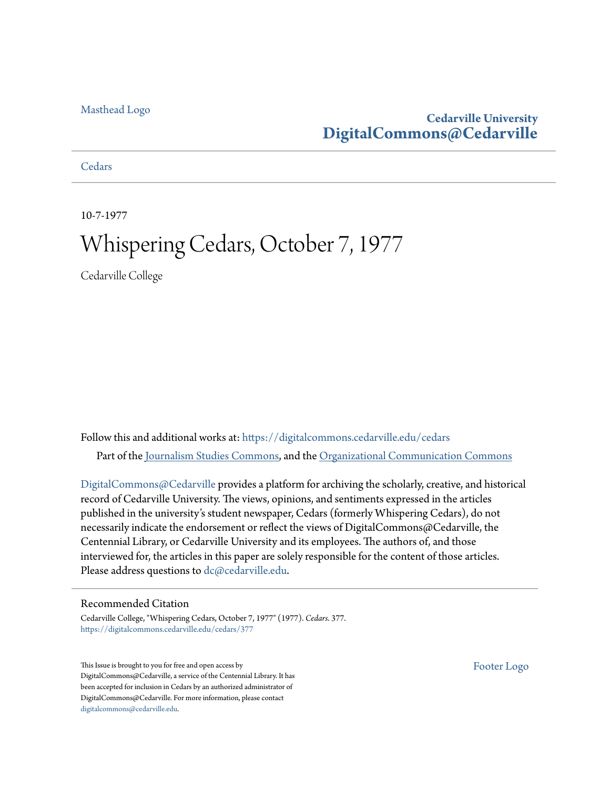### [Masthead Logo](http://www.cedarville.edu/?utm_source=digitalcommons.cedarville.edu%2Fcedars%2F377&utm_medium=PDF&utm_campaign=PDFCoverPages)

### **Cedarville University [DigitalCommons@Cedarville](https://digitalcommons.cedarville.edu?utm_source=digitalcommons.cedarville.edu%2Fcedars%2F377&utm_medium=PDF&utm_campaign=PDFCoverPages)**

**[Cedars](https://digitalcommons.cedarville.edu/cedars?utm_source=digitalcommons.cedarville.edu%2Fcedars%2F377&utm_medium=PDF&utm_campaign=PDFCoverPages)** 

10-7-1977

## Whispering Cedars, October 7, 1977

Cedarville College

Follow this and additional works at: [https://digitalcommons.cedarville.edu/cedars](https://digitalcommons.cedarville.edu/cedars?utm_source=digitalcommons.cedarville.edu%2Fcedars%2F377&utm_medium=PDF&utm_campaign=PDFCoverPages) Part of the [Journalism Studies Commons](http://network.bepress.com/hgg/discipline/333?utm_source=digitalcommons.cedarville.edu%2Fcedars%2F377&utm_medium=PDF&utm_campaign=PDFCoverPages), and the [Organizational Communication Commons](http://network.bepress.com/hgg/discipline/335?utm_source=digitalcommons.cedarville.edu%2Fcedars%2F377&utm_medium=PDF&utm_campaign=PDFCoverPages)

[DigitalCommons@Cedarville](http://digitalcommons.cedarville.edu/) provides a platform for archiving the scholarly, creative, and historical record of Cedarville University. The views, opinions, and sentiments expressed in the articles published in the university's student newspaper, Cedars (formerly Whispering Cedars), do not necessarily indicate the endorsement or reflect the views of DigitalCommons@Cedarville, the Centennial Library, or Cedarville University and its employees. The authors of, and those interviewed for, the articles in this paper are solely responsible for the content of those articles. Please address questions to [dc@cedarville.edu.](mailto:dc@cedarville.edu)

### Recommended Citation

Cedarville College, "Whispering Cedars, October 7, 1977" (1977). *Cedars*. 377. [https://digitalcommons.cedarville.edu/cedars/377](https://digitalcommons.cedarville.edu/cedars/377?utm_source=digitalcommons.cedarville.edu%2Fcedars%2F377&utm_medium=PDF&utm_campaign=PDFCoverPages)

This Issue is brought to you for free and open access by DigitalCommons@Cedarville, a service of the Centennial Library. It has been accepted for inclusion in Cedars by an authorized administrator of DigitalCommons@Cedarville. For more information, please contact [digitalcommons@cedarville.edu](mailto:digitalcommons@cedarville.edu).

[Footer Logo](http://www.cedarville.edu/Academics/Library.aspx?utm_source=digitalcommons.cedarville.edu%2Fcedars%2F377&utm_medium=PDF&utm_campaign=PDFCoverPages)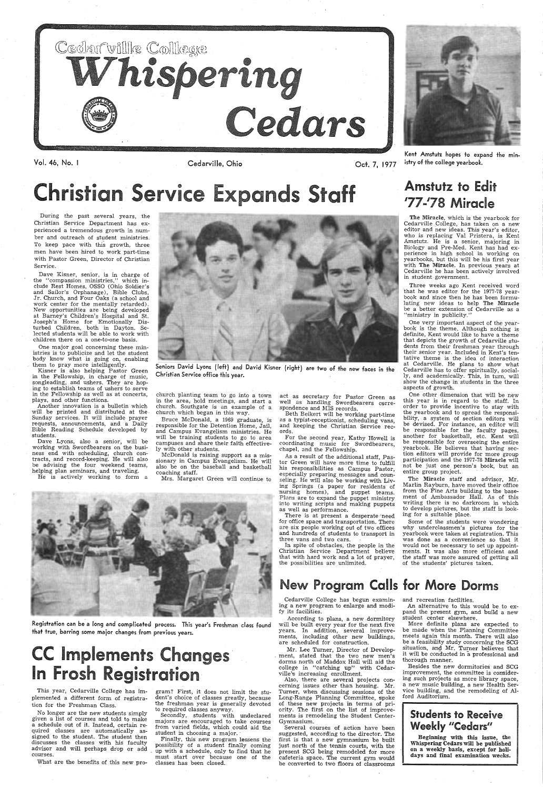



Kent Amstutz hopes to expand the ministry of the college yearbook.

**Vol.** 46, No. I Cedarville, Ohio

Oct. 7,

## $\bullet$   $\bullet$   $\bullet$   $\bullet$   $\bullet$   $\bullet$   $\bullet$   $\bullet$ r1st1 **s** <sup>r</sup>IC E n <sup>s</sup>**St** ff Amstutz to Edit *<sup>1</sup>*77-*<sup>1</sup>*78 Miracle

During the past several years, the Christian Service Department has experienced a tremendous growth in number and outreach of student ministries. To keep pace with this growth, three men have been hired to work part-time with Pastor Green, Director of Christian Service.

Kisner is also helping Pastor Green in the Fellowship, in charge of music, songleading, and ushers. They are hoping to establish teams of ushers to serve in the Fellowship as well as at concerts, plays, and other functions.

Dave Kisner, senior, is in charge of the "compassion ministries," which include Rest Homes, OSSO (Ohio Soldier's and Sailor's Orphanage), Bible Clubs, Jr. Church, and Four Oaks (a school and work center for the mentally retarded). New opportunities are being developed at Barney's Children's Hospital and St. Joseph's Home for Emotionally Disturbed Children, both in Dayton. Selected students will be able to work with children there on a one-to-one basis.

One major goal concerning these *min*istries is to publicize and let the student body know what is going on, enabling them to pray more intelligently.

> act as secretary for Pastor Green as well as handling Swordbearers correspondence and MIS records.

Another innovation is a bulletin which will be printed and distributed at the Sunday services. It will include prayer requests, announcements, and a Daily Bible Reading Schedule developed by students.

Dave Lyons, also a senior, will be working with Swordbearers on the business end with scheduling, church contracts, and record-keeping. He will also be advising the four weekend teams, helping plan seminars, and traveling.

He is actively working to form <sup>a</sup>



Seniors David Lyons (left) and David Kisner (right) are two of the new faces in the Christian Service office this year.

church planting team to go into a town in the area, hold meetings, and start <sup>a</sup> church. Southgate is an example of a church which began in this way.

Bruce McDonald, a 1969 graduate, is responsible for the Detention Home, Jail, and Campus Evangelism ministries. He will be training students to go to area campuses and share their faith effectively with other students.

McDonald is raising support as a missionary in Campus Evangelism. He will also be on the baseball and basketball coaching staff.

Mrs. Margaret Green will continue to

One other dimension that will be new this year is in regard to the staff. In order to provide incentive to stay with the yearbook and to spread the responsibility, a system of section editors will be devised. For instance, an editor will be responsible for. the faculty pages, another for basketball, etc. Kent will be responsible for overseeing the entire yearbook. He believes that having section editors will provide for more group participation and the 1977-78 Miracle will not be just one person's book, but an entire group project.

Beth Beikert will be working part-time as a typist-receptionist, scheduling vans, and keeping the Christian Service records.

 For the second year, Kathy Howell is coordinating music for . Swordbearers, chapel, and the Fellowship.

## **CC Implements Changes** In Frosh Registration·

As a result of the additional staff, Pastor Green will have more time to fulfill his responsibilities as Campus Pastor, especially preparing messages and counseling. He will also be working with Living Springs (a paper for residents of nursing homes), and puppet teams. Plans are to expand the puppet ministry into writing scripts and making puppets as well as performance.

There is at present a desperate 'need for office space and transportation. There are six people working out of two offices and hundreds of students to transport in three vans and two cars.

In spite of obstacles, the people in the Christian Service Department believe that with hard work and a lot of prayer, the possibilities are unlimited.

According to plans, a new dormitory will be built every year for the next five years. In addition, several improvements, including other new buildings, are scheduled for construction.

The Miracle, which is the yearbook for Cedarville College, has taken on a new editor and new ideas. This year's editor, who is replacing Val Pristera, is Kent Amstutz. He is a senior, majoring in Biology and Pre-Med. Kent has had experience in high school in working on yearbooks, but this will be his first year with The Miracle. In previous years at Cedarville he has been actively involved in student· government.

Three weeks ago Kent received word ·that he was editor for the 1977-78 yearbook and since then he has been formulating new ideas to help The Miracle be a better extension of Cedarville as a "ministry in publicity."

### Students to Receive Weekly "Cedars"

Beginning with this issue, the Whispering Cedars will be published on a weekly basis, except for holidays and final examination weeks.

One very important aspect of the yearbook is the theme. Although nothing is definite, Kent would like to have a theme that depicts the growth of Cedarville students from their freshman year through their senior year. Included in Kent's tentative theme is the idea of interaction at Cedarville. He plans to show what Cedarville has to offer spiritually, socially, and academically. This, in turn, will show the change in students in the three aspects of growth.

The Miracle staff and advisor, Mr. Marlin Rayburn, have moved their office from the Fine Arts building to the basement of Ambassador Hall. As of this writing there is no darkroom in which to develop pictures, but the staff is looking for a suitable place.

Some of the students were wondering why underclassmen's pictures for the yearbook were taken at registration. This was done as a convenience so that it would not be necessary to set up appointments. It was also more efficient and the staff was more assured of getting all of the students' pictures taken.



Registration can be a long and complicated process. This year's Freshman class found that true, barring some major changes from previous years.

This year, Cedarville College has implemented a different form of registration for the Freshman Class.

No longer are the new students simply given a list of courses and told to make a schedule out of it. Instead, certain required classes are automatically assigned to the student. The student then discusses the classes with his faculty advisor and will perhaps dr'op or add courses.

What are the benefits of this new pro-

gram? First, it does not limit the stu dent's choice of classes greatly, because the freshman year is generally devoted to required classes anyway.

Secondly, students with undeclared majors are encouraged to take courses from varied fields, which could aid the student in choosing a major.

Finally, this new program lessens the possibility of a student finally coming up with a schedule, only to find that he must start over because one of the classes has been closed.

## New Program Calls for More Dorms

Cedarville College has begun examining a new program to enlarge and modify its facilities.

Mr. Lee Turner, Director of Develop ment, stated that the two new men's dorms north of Maddox Hall will aid the college in "catching up" with Cedarville's increasing enrollment.

Also, there are several projects concerning issues other than housing. Mr. Turner, when discussing sessions of the Long-Range Planning Committee, spoke of these new projects in terms of priority. The first on the list of improvements is remodeling the Student Center-Gymnasium.

Several courses of action have been suggested, according to the director. The first is that a new gymnasium be built just north of the tennis courts, with the present SCG being remodeled for more cafeteria space. The current gym would be converted to two floors of classrooms

and recreation facilities.

An alternative to this would be to expand the present gym, and build a new student center elsewhere.

More definite plans are expected to be made when the . Planning Committee meets again this month. There will also be a feasibility study concerning the SCG situation, and Mr. Turner believes that it will be conducted in a professional and thorough manner.

Besides the new dormitories and SCG improvement, the committee is considering such projects as more library space, a new music building, a new Health Service building, and the remodeling of Alford Auditorium.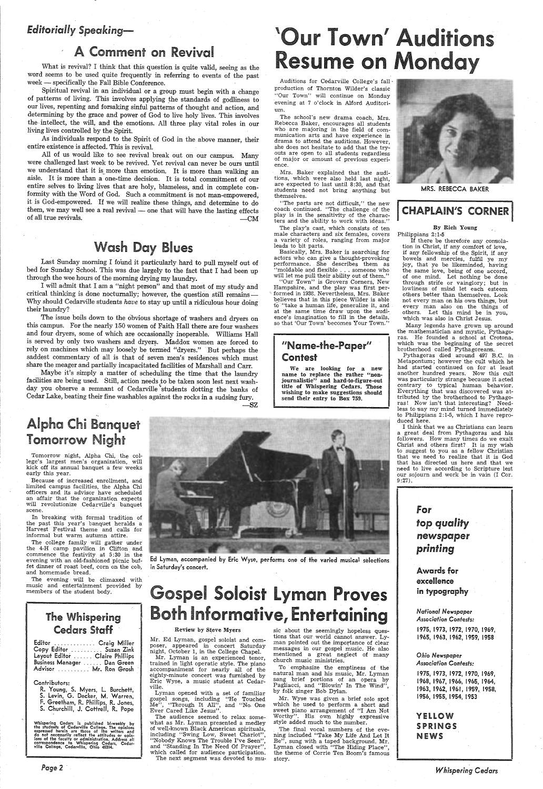### *Editorially Speaking-*

What is revival? I think that this question is quite valid, seeing as the word seems to be used quite frequently in referring to events of the past week - specifically the Fall Bible Conference.

## A Comment on Revival

All of us would like to see revival break out on our campus. Many were challenged last week to be revived. Yet revival can never be ours until we understand that it is more than emotion. It is more than walking an aisle. It is more than a one-time decision. It is total commitment of our entire selves to living lives that are holy, blameless, and in complete conformity with the Word of God. Such a commitment is not man-empowered, it is God-empowered. If we will realize these things, and determine to do them, we may well see a real revival - one that will have the lasting effects of all true revivals.  $-M$ 

Spiritual revival in an individual or a group must begin with a change of patterns of living. This involves applying the standards of godliness to our lives, repenting and forsaking sinful patterns of thought and action, and determining by the grace and power of God to live holy lives. This involves the intellect, the will, and the emotions. All three play vital roles in our · Jiving lives controlled by the Spirit.

As individuals respond to the Spirit of God in the above manner, their entire existence is affected. This is revival.

## Wash Day Blues

Last Sunday morning I found it particularly hard to pull myself out of bed for Sunday School. This was due largely to the fact that I had been up through the wee hours of the morning drying my laundry.

<sup>I</sup>will admit that I am a "night person" and that most of my study and critical thinking is done nocturnally; however, the question still remains -Why should Cedarville students *have* to stay up until a ridiculous hour doing their laundry?

The issue boils down to the obvious shortage of washers and dryers on this campus. For the nearly 150 women of Faith Hall there are four washers and four dryers, some of which are occasionally inoperable. Williams Hall is served by only two washers and dryers. Maddox women are forced to rely on machines which may loosely be termed "dryers." But perhaps the saddest commentary of all is that of seven men's residences which must share the meager and partially incapacitated facilities of Marshall and Carr.

### "Name-the-Paper" Contest

We are looking for a new name to replace the rather "nonjournalistic" and hard-to-figure-out title of Whispering Cedars. Those wishing to make suggestions should send their entry to Box 759.



Maybe it's simply a matter of scheduling the time that the laundry facilities are being used. Still, action needs to be taken soon lest next washday you observe a remnant of Cedarville 'students dotting the banks of Cedar Lake, beating their fine washables against the rocks in a sudsing fury.

..•

## Alpha Chi Banquet Tomorrow Night

The evening will be climaxed music and entertainment provided by members of the student body.

Tomorrow night, Alpha Chi, the college's largest men's organization, will kick off its annual banquet a few weeks early this year.

Because of increased enrollment, and limited campus facilities, the Alpha Chi officers and its advisor have scheduled an affair that the organization expects will revolutionize Cedarville's banquet scene.

## Gospel Soloist Lyman Proves Both Informative, Entertaining

#### Review by Steve Myers

In breaking with formal tradition of the past this year's banquet heralds <sup>a</sup> Harvest Festival theme and calls for informal but warm autumn attire.

-SZ

# 'Our Town' Auditions Resume on Monday

Auditions for Cedarville College's fall· production of Thornton Wilder's classic "Our Town" will continue on Monday evening at 7 o'clock in Alford Auditorium.

The school's new drama coach, Mrs. Rebecca Baker, encourages all students who are majoring in the field of communication arts and have experience in drama to attend the auditions. However, she does not hesitate to add that the tryouts are open to all students regardless of major or amount of previous experience.

Mrs. Baker explained that the auditions, which were also held last night, are expected to last until 8:30, and that students need not bring anything but themselves.

"The parts are not difficult," the new coach continued. "The challenge of the play is in the sensitivity of the characters and the ability to work with ideas."

The play's cast, which consists of ten male characters and six females, covers a variety of roles, ranging from major leads to bit parts.

Basically, Mrs. Baker is searching for actors who can give a thought-provoking performance. She describes them as "moldable and flexible ... someone who will let me pull their ability out of them."

"Our Town" is Grovers Corners, New Hampshire, and the play was first performed in 1933. Nevertheless, Mrs. Baker believes that in this piece Wilder is able<br>to "take a human life, generalize it, and at the same time draw upon the audi-, ence's imagination to fill in the details, so that 'Our Town' becomes Your Town."

### YELLOW SPRINGS **NEWS**

The college family will gather under the 4-H camp pavilion in Clifton and commence the festivity at 5 :30 in the evening with an old-fashioned picnic buffet dinner of roast beef, corn on the cob, and homemade bread.



Ed Lyman, accompanied by Eric Wyse, performs one of the varied musical selections in Saturday's concert.

### The Whispering Cedars Staff

| Editor  Craig Miller           |  |
|--------------------------------|--|
| Copy Editor  Suzan Zink        |  |
| Layout Editor  Claire Phillips |  |
| Business Manager  Dan Green    |  |
| Advisor  Mr. Ron Grosh         |  |

#### Contributors:

R. Young, S. Myers, l. Burchett, S. Levin, G. Decker, M. Warren, F. Greetham, R. Phillips, R. Jones, S. Churchill, J. Cottrell, R. Pope

Whispering Cedars is published bi-weekly by<br>the students of Cedarville College. The opinions<br>expressed herein are those of the writers and<br>do not necessarily reflect the attitudes or opin-<br>ions of the faculty or administra

*Page2* 

Mr. Ed Lyman, gospel soloist and composer, appeared in concert Saturday night, October 1, in the College Chapel.

Mr. Lyman is an experienced tenor, trained in light operatic style. The piano accompaniment for nearly all of the eighty-minute concert was furnished by Eric Wyse, a music student at Cedarville.

Lyman opened with a set of familiar gospel songs, including '.'He Touched Me", "Through It All", and "No. One Ever Cared Like Jesus".

The audience seemed to relax somewhat as Mr. Lyman presented a medley of well-known Black American spirituals, including "Swing Low, Sweet Chariot", "Nobody Knows The Trouble I've Seen", and "Standing In The Need Of Prayer", which called for audience participation. The next segment was devoted to mu-

sic about the seemingly hopeless ques tions that our world cannot answer. Ly man pointed out the importance of clear messages in our gospel music. He also mentioned a great neglect of many church music ministries.

To emphasize the emptiness of the natural man and his music, Mr. Lyman sang brief portions of an opera by Pagliacci, and "Blowin' In The Wind", by folk singer Bob Dylan.

Mr. Wyse was given a brief solo spot which he used to perform a short and sweet piano arrangement of "I Am Not Worthy". His own highly expressive style added much to the number.

The final vocal numbers of the eve ning included "Take My Life And Let It Be", sung with a taped background. Mr. Lyman closed with ''The Hiding Place'',<br>the theme of Corrie Ten Boom's famous story.

MRS; REBECCA BAKER

### **I CHAPLAIN'S CORNER I**

### By Rich Young

Philippians 2:1-5 If there be therefore any consolation in Christ, if any comfort of love, if any fellowship of the Spirit, if any bowels and mercies, fulfil ye my joy, that ye be likeminded, having the same love, being of one accord, of one mind. Let nothing be done through strife or vainglory; but in lowliness of mind let each esteem others better than themselves. Look not every man on his own things, but every man also on the things of others. Let this mind be in you, which was also in Christ Jesus.

Many legends have grown up around the mathematician and mystic, Pythagoras. He founded a school at Crotona, which was the beginning of the secret brotherhood called Pythagoreans.

Pythagoras died around 497 B.C. in Metapontum; however the cult which he had started continued on for at least another hundred years. Now this cult was particularly strange because it acted contrary to typical human behavior. Everything that was discovered was attributed by the brotherhood to Pythago ras! Now isn't that interesting? Needless to say my mind turned immediately to Philippians 2:1-5, which I have reproduced here.

I think that we as Christians can learn <sup>a</sup>great deal from Pythagoras and his followers. How many times do we exalt Christ and others first? It is my wish to suggest to you as a fellow Christian that we need to realize that it is God that has directed us here and that we need to live according to Scripture lest our sojourn and work be in vain (I Cor. 9 :27).

## for *top quality newspaper printing*

Awards for

### excellence in typography

*National Newspaper Association Contests:* 

1975, 1973, 1972, 1970, 1969, 1965, 1963, 1962, 1959, 1958

#### *Ohio Newspaper Association Contests:*

1975, 1973, 1972, 1970, 1969, 1968, 1967, 1966, 1965, 1964, 1963, 1962, 1961, 1959, 1958, 1956, 1955, 1954, 1953

*Whispering Cedars*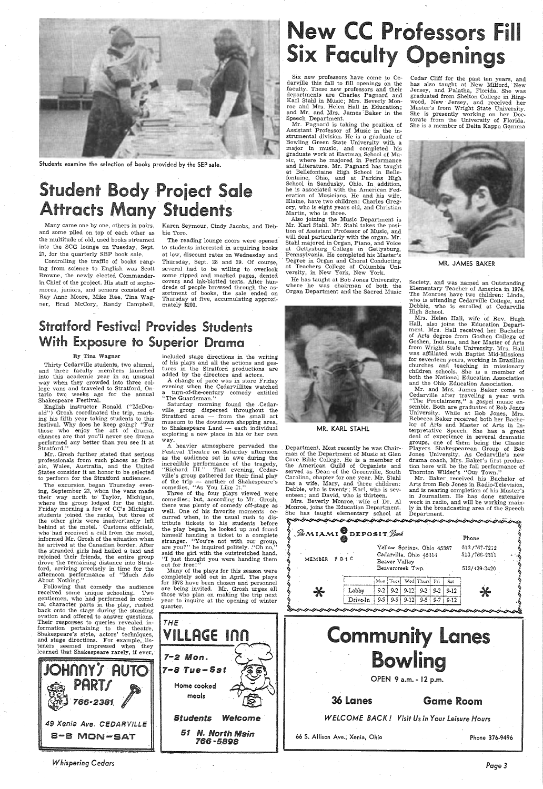

Students examine the selection of books provided by the SEP sale.

## **Student Body Project Sale Attracts Many Students**

Many came one by one, others in pairs, Karen Seymour, Cindy Jacobs, and Deband some piled on top of each other as the multitude of old, used books streamed into the SCG lounge on Tuesday, Sept. 27, for the quarterly SEP book sale.

bie Toro.

Six new professors have come to Cedarville this fall to fill openings on the faculty. These new professors and their departments are Charles Pagnard and Karl Stahl in Music; Mrs. Beverly Monroe and Mrs. Helen Hall in Education; and Mr. and Mrs. James Baker in the Speech Department.

Cedar Cliff for the past ten years, and has also taught at New Milford, New Jersey, and Palatha, Florida: She was graduated from Shelton College in Ring wood, New· Jersey, and received her Master's from Wright State University. She is presently working on her Doctorate from the University of Florida. She is a member of Delta Kappa Gamma



Mr. Pagnard is taking the position of Assistant Professor of Music in the instrumental division. He is a graduate of Bowling Green State University with <sup>a</sup> major in music, and completed his graduate work at Eastman School of Music, where he majored in Performance and Literature. Mr. Pagnard has taught at Bellefontaine High School in Bellefontaine, Ohio, and at Parkins High School in Sandusky, Ohio. In addition, he is associated with the American Federation of Musicians. He and his wife, Elaine, have two children: Charles Gregory, who is eight years old, and Christian Martin, who is three.

## **Stratford Festival Provides Students** With Exposure to Superior Drama

Mr. Grosh further stated that serious professionals from such places as Britain, Wales, Australia, and the United States consider it an honor to be selected to perform for the Stratford audiences.

Also joining the Music Department is Mr. Karl Stahl. Mr. Stahl takes the position of Assistant Professor of Music, and will deal particularly with the organ. Mr. Stahl majored in Organ, Piano, and Voice Pennsylvania. He completed his Master's · Degree in Organ and Choral Conducting at Teachers College of Columbia Uni-versity, in New York, New York. MR. JAMES BAKER

Controlling the traffic of books ranging from science to English was Scott Browne, the newly elected Commanderin Chief of the project. His staff of sophomores, juniors, and seniors consisted of Ray Anne Moore, Mike Rae, Tina Wagner, Brad McCory, Randy Campbell,

**AUTO** 49 Xenia Ave. CEDARVILLE a-a MON-SAT

The reading lounge doors were opened to students interested in acquiring books at low, discount rates on Wednesday and Thursday, Sept. 28 and 29. Of course, several had to be willing to overlook some ripped and marked pages, dented covers and ink-blotted texts. After hundreds of people browsed through the assortment of books, the sale ended on Thursday at five, accumulating approximately \$200.

## rofessors Fill **Faculty Openings**

<sup>A</sup>change of pace was in store Friday evening when the Cedarvillites watched a turn-of-the-century comedy entitled<br>''The Guardsman.''

Saturday morning found the .Cedarville\_ group dispersed throughout the Stratford area — from the small art museum to the downtown shopping area,  $to$  Shakespeare Land  $-$  each individual exploring <sup>a</sup>new place in his or her own way.

A heavier atmosphere pervaded the Festival Theatre on Saturday afternoon as the audience sat in awe during the incredible performance of the tragedy, "Richard III." That evening, Cedarville's group gathered for their final play of the trip --- another of Shakespeare's comedies, ''As You Like It.''

### By Tina Wagner

Thirty Cedarville students, two alumni, and three faculty members launched into this academic year in an unusual way when they crowded into three college vans and traveled to Stratford, Ontario two weeks ago for the annual Shakespeare Festival.

> Home cooked meals

English instructor Ronald ("McDonald") Grosh coordinated the trip, marking his fifth year taking students to this festival. Why does he keep going? "For those who enjoy the art of drama, chances are that you'll never see drama performed any better than you see it at Stratford."

Society, and was named an Outstanding Elementary Teacher of America in 1974. The Monroes have two children: Linda, who is attending Cedarville College, and Debbie, who is enrolled at Cedarville High School.

Mr. and Mrs. James Baker come to Cedarville after traveling a year with "The Proclaimers," a gospel music ensemble. Both are graduates of Bob Jones University. While at Bob Jones; Mrs. Rebecca Baker received both her Bachelor of Arts and Master of Arts in Interpretative Speech. She has a great deal of experience in several dramatic groups, one of them being the Classic<br>Department. Most recently he was Chair- Players Shakespearean Group of Bob<br>man of the Department of Music at Glen Jones University. As Cedarville's new

The excursion began Thursday evening, September 22, when the vans made their way north to Taylor, Michigan, where the group lodged for the night. Friday morning a few of CC's Michigan students joined the ranks, but three of the other girls were inadvertantly left behind at the motel. Customs officials, who had received a call from the motel, informed Mr. Grosh of the situation when he arrived at the Canadian border. After the stranded girls had hailed a taxi and drove the remaining distance into Stratford, arriving precisely in time for the afternoon performance of "Much Ado

Mr. Baker received his Bachelor of has a wife, Mary, and three children: Arts from Bob Jones in Radio-Television, Debbie, who is twenty; Karl, who is sev-<br>enteen; and David, who is thirteen. in Journalism. He has done extensive enteen; and David, who is thirteen. in Journalism. He has done extensive

About Nothing."

|                       |                            | $\mathscr{R}$ MIAMI DEPOSIT $\mathscr{G}$ un | Phone |  |
|-----------------------|----------------------------|----------------------------------------------|-------|--|
| MEMBER<br>$F$ D. 1 C. | Yellow Springs, Ohio 45387 | $-513/767-7212$                              |       |  |
|                       | Cedarville, Ohio 45314     | $-513/766-2311$                              |       |  |
|                       | Beaver Valley              |                                              |       |  |
|                       | Beavercreek Twp.           | 513/429-3420                                 |       |  |

Following that comedy the audience received some unique schooling. Two gentlemen, who had performed in comical character parts in the play, rushed back onto the stage during the standing ovation and offered to answer questions. Their responses to queries revealed information pertaining to the theatre, Shakespeare's style, actors' techniques, and stage directions. For example, listeners seemed impressed when they learned that Shakespeare rarely, if ever,

*Whispering Cedars* 

included stage directions in the writing of his plays and all the actions and gestures in the Stratford productions are added by the directors and actors.

Three of the four plays viewed were comedies; but, according to Mr. Grosh, there was plenty of comedy off-stage as well. One of his favorite moments occurred when, in the usual rush to distribute tickets to his students before the play began, he looked up and found himself handing a ticket to a complete stranger. "You're not with our group, are you?" he inquired politely. "Oh no," said the girl with the outstretched hand. "I just thought you were handing them out for free!"

 Many of the plays for this season were completely sold out in April. The plays for 1978 have been chosen and personnel are being invited. Mr. Grosh urges all those who plan on making the trip next year to inquire at the opening of winter quarter.

*THE* 

7-2 Mon.

*7-8* ·Tue-Sat

He has taught at Bob Jones University, where he was chairman of both the Organ Department and the Sacred Music



MR. KARL STAHL

Cove Bible College. He is a member of drama coach, Mrs. Baker's first productie American Guild of Organists and tion here will be the fall performance of served as Dean of the Greenville, South Thornton Wilder's "Our Town. Carolina, chapter for one year. Mr. Stahl has a wife, Mary, and three children:

Mrs. Beverly Monroe, wife of Dr. Al work in radio, and will be working main-<br>Monroe, joins the Education Department. ly in the broadcasting area of the Speech<br>She has taught elementary school at Department.<br> $\mathcal{R}$  is the

Mrs. Helen Hall, wife of Rev. Hugh Hall, also joins the Education Department. Mrs. Hall received her Bachelor of Arts degree from Goshen College of Goshen, Indiana, and her Master of Arts from Wright State University. Mrs. Hall was affiliated with Baptist Mid-Missions for seventeen years, working in Brazilian churches and teaching in missionary children schools. She is a member of both the National Education Association and the Ohio Education Association.



*Page3*